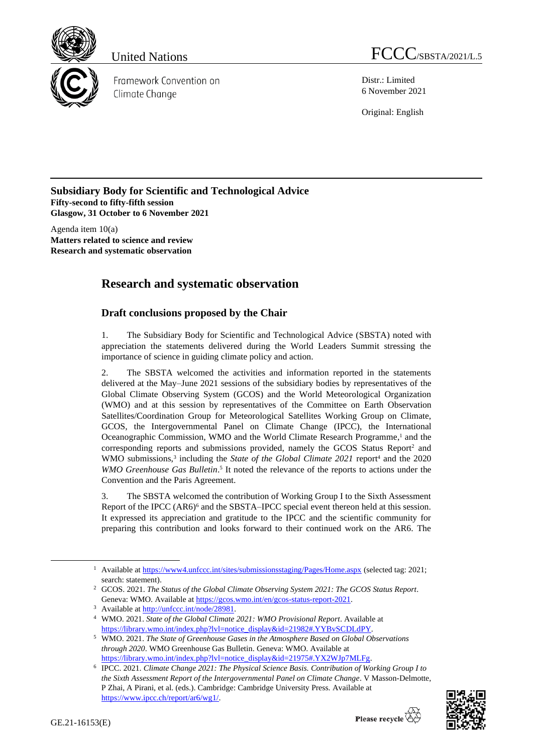

Framework Convention on Climate Change

United Nations **FCCC**/SBSTA/2021/L.5

Distr.: Limited 6 November 2021

Original: English

**Subsidiary Body for Scientific and Technological Advice Fifty-second to fifty-fifth session Glasgow, 31 October to 6 November 2021**

Agenda item 10(a) **Matters related to science and review Research and systematic observation**

## **Research and systematic observation**

## **Draft conclusions proposed by the Chair**

1. The Subsidiary Body for Scientific and Technological Advice (SBSTA) noted with appreciation the statements delivered during the World Leaders Summit stressing the importance of science in guiding climate policy and action.

2. The SBSTA welcomed the activities and information reported in the statements delivered at the May–June 2021 sessions of the subsidiary bodies by representatives of the Global Climate Observing System (GCOS) and the World Meteorological Organization (WMO) and at this session by representatives of the Committee on Earth Observation Satellites/Coordination Group for Meteorological Satellites Working Group on Climate, GCOS, the Intergovernmental Panel on Climate Change (IPCC), the International Oceanographic Commission, WMO and the World Climate Research Programme, <sup>1</sup> and the corresponding reports and submissions provided, namely the GCOS Status Report<sup>2</sup> and WMO submissions,<sup>3</sup> including the *State of the Global Climate 2021* report<sup>4</sup> and the 2020 WMO Greenhouse Gas Bulletin.<sup>5</sup> It noted the relevance of the reports to actions under the Convention and the Paris Agreement.

3. The SBSTA welcomed the contribution of Working Group I to the Sixth Assessment Report of the IPCC (AR6)<sup>6</sup> and the SBSTA–IPCC special event thereon held at this session. It expressed its appreciation and gratitude to the IPCC and the scientific community for preparing this contribution and looks forward to their continued work on the AR6. The

<sup>6</sup> IPCC. 2021. *Climate Change 2021: The Physical Science Basis. Contribution of Working Group I to the Sixth Assessment Report of the Intergovernmental Panel on Climate Change*. V Masson-Delmotte, P Zhai, A Pirani, et al. (eds.). Cambridge: Cambridge University Press. Available at [https://www.ipcc.ch/report/ar6/wg1/.](https://www.ipcc.ch/report/ar6/wg1/)



<sup>&</sup>lt;sup>1</sup> Available a[t https://www4.unfccc.int/sites/submissionsstaging/Pages/Home.aspx](https://www4.unfccc.int/sites/submissionsstaging/Pages/Home.aspx) (selected tag: 2021; search: statement).

<sup>2</sup> GCOS. 2021. *The Status of the Global Climate Observing System 2021: The GCOS Status Report*. Geneva: WMO. Available at [https://gcos.wmo.int/en/gcos-status-report-2021.](https://gcos.wmo.int/en/gcos-status-report-2021)

<sup>&</sup>lt;sup>3</sup> Available at http://unfccc.int/node/28981.

<sup>4</sup> WMO. 2021. *State of the Global Climate 2021: WMO Provisional Report*. Available at [https://library.wmo.int/index.php?lvl=notice\\_display&id=21982#.YYBvSCDLdPY.](https://library.wmo.int/index.php?lvl=notice_display&id=21982#.YYBvSCDLdPY)

<sup>5</sup> WMO. 2021. *The State of Greenhouse Gases in the Atmosphere Based on Global Observations through 2020*. WMO Greenhouse Gas Bulletin. Geneva: WMO. Available at [https://library.wmo.int/index.php?lvl=notice\\_display&id=21975#.YX2WJp7MLFg.](https://library.wmo.int/index.php?lvl=notice_display&id=21975#.YX2WJp7MLFg)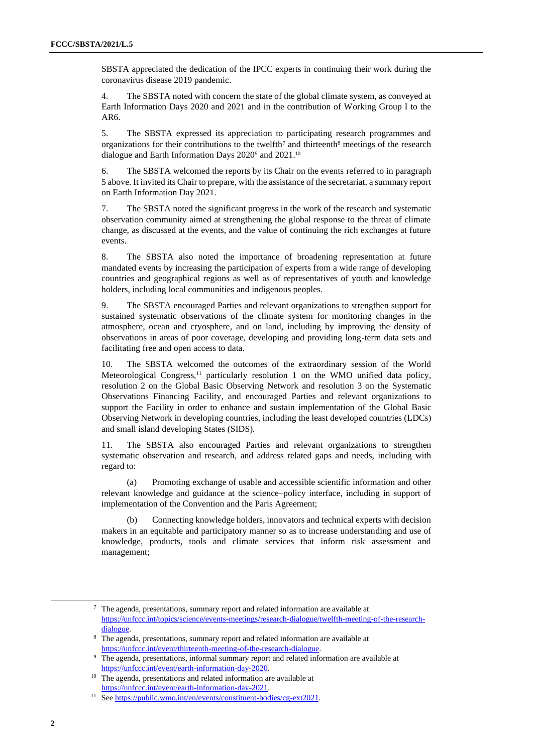SBSTA appreciated the dedication of the IPCC experts in continuing their work during the coronavirus disease 2019 pandemic.

4. The SBSTA noted with concern the state of the global climate system, as conveyed at Earth Information Days 2020 and 2021 and in the contribution of Working Group I to the AR6.

5. The SBSTA expressed its appreciation to participating research programmes and organizations for their contributions to the twelfth<sup>7</sup> and thirteenth<sup>8</sup> meetings of the research dialogue and Earth Information Days 2020<sup>9</sup> and 2021.<sup>10</sup>

6. The SBSTA welcomed the reports by its Chair on the events referred to in paragraph 5 above. It invited its Chair to prepare, with the assistance of the secretariat, a summary report on Earth Information Day 2021.

7. The SBSTA noted the significant progress in the work of the research and systematic observation community aimed at strengthening the global response to the threat of climate change, as discussed at the events, and the value of continuing the rich exchanges at future events.

8. The SBSTA also noted the importance of broadening representation at future mandated events by increasing the participation of experts from a wide range of developing countries and geographical regions as well as of representatives of youth and knowledge holders, including local communities and indigenous peoples.

9. The SBSTA encouraged Parties and relevant organizations to strengthen support for sustained systematic observations of the climate system for monitoring changes in the atmosphere, ocean and cryosphere, and on land, including by improving the density of observations in areas of poor coverage, developing and providing long-term data sets and facilitating free and open access to data.

10. The SBSTA welcomed the outcomes of the extraordinary session of the World Meteorological Congress,<sup>11</sup> particularly resolution 1 on the WMO unified data policy, resolution 2 on the Global Basic Observing Network and resolution 3 on the Systematic Observations Financing Facility, and encouraged Parties and relevant organizations to support the Facility in order to enhance and sustain implementation of the Global Basic Observing Network in developing countries, including the least developed countries (LDCs) and small island developing States (SIDS)*.*

11. The SBSTA also encouraged Parties and relevant organizations to strengthen systematic observation and research, and address related gaps and needs, including with regard to:

(a) Promoting exchange of usable and accessible scientific information and other relevant knowledge and guidance at the science–policy interface, including in support of implementation of the Convention and the Paris Agreement;

(b) Connecting knowledge holders, innovators and technical experts with decision makers in an equitable and participatory manner so as to increase understanding and use of knowledge, products, tools and climate services that inform risk assessment and management;

<sup>7</sup> The agenda, presentations, summary report and related information are available at [https://unfccc.int/topics/science/events-meetings/research-dialogue/twelfth-meeting-of-the-research](https://unfccc.int/topics/science/events-meetings/research-dialogue/twelfth-meeting-of-the-research-dialogue)[dialogue.](https://unfccc.int/topics/science/events-meetings/research-dialogue/twelfth-meeting-of-the-research-dialogue)

<sup>8</sup> The agenda, presentations, summary report and related information are available at [https://unfccc.int/event/thirteenth-meeting-of-the-research-dialogue.](https://unfccc.int/event/thirteenth-meeting-of-the-research-dialogue)

<sup>&</sup>lt;sup>9</sup> The agenda, presentations, informal summary report and related information are available at [https://unfccc.int/event/earth-information-day-2020.](https://unfccc.int/event/earth-information-day-2020)

<sup>&</sup>lt;sup>10</sup> The agenda, presentations and related information are available at [https://unfccc.int/event/earth-information-day-2021.](https://unfccc.int/event/earth-information-day-2021)

<sup>11</sup> Se[e https://public.wmo.int/en/events/constituent-bodies/cg-ext2021.](https://public.wmo.int/en/events/constituent-bodies/cg-ext2021)